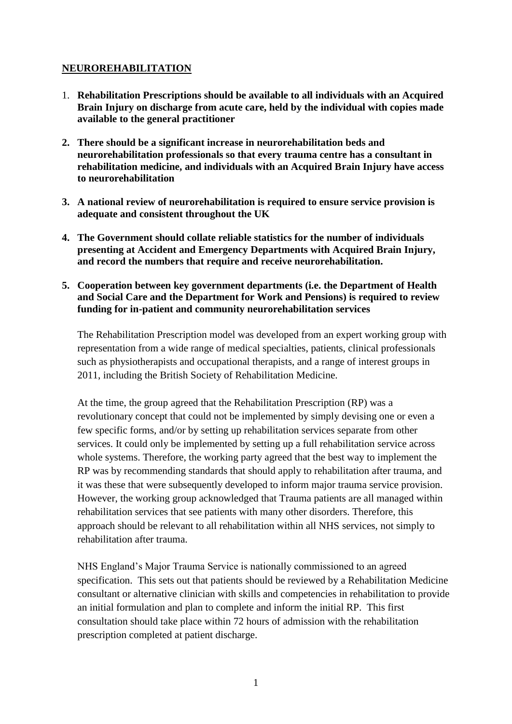# **NEUROREHABILITATION**

- 1. **Rehabilitation Prescriptions should be available to all individuals with an Acquired Brain Injury on discharge from acute care, held by the individual with copies made available to the general practitioner**
- **2. There should be a significant increase in neurorehabilitation beds and neurorehabilitation professionals so that every trauma centre has a consultant in rehabilitation medicine, and individuals with an Acquired Brain Injury have access to neurorehabilitation**
- **3. A national review of neurorehabilitation is required to ensure service provision is adequate and consistent throughout the UK**
- **4. The Government should collate reliable statistics for the number of individuals presenting at Accident and Emergency Departments with Acquired Brain Injury, and record the numbers that require and receive neurorehabilitation.**
- **5. Cooperation between key government departments (i.e. the Department of Health and Social Care and the Department for Work and Pensions) is required to review funding for in-patient and community neurorehabilitation services**

The Rehabilitation Prescription model was developed from an expert working group with representation from a wide range of medical specialties, patients, clinical professionals such as physiotherapists and occupational therapists, and a range of interest groups in 2011, including the British Society of Rehabilitation Medicine.

At the time, the group agreed that the Rehabilitation Prescription (RP) was a revolutionary concept that could not be implemented by simply devising one or even a few specific forms, and/or by setting up rehabilitation services separate from other services. It could only be implemented by setting up a full rehabilitation service across whole systems. Therefore, the working party agreed that the best way to implement the RP was by recommending standards that should apply to rehabilitation after trauma, and it was these that were subsequently developed to inform major trauma service provision. However, the working group acknowledged that Trauma patients are all managed within rehabilitation services that see patients with many other disorders. Therefore, this approach should be relevant to all rehabilitation within all NHS services, not simply to rehabilitation after trauma.

NHS England's Major Trauma Service is nationally commissioned to an agreed specification. This sets out that patients should be reviewed by a Rehabilitation Medicine consultant or alternative clinician with skills and competencies in rehabilitation to provide an initial formulation and plan to complete and inform the initial RP. This first consultation should take place within 72 hours of admission with the rehabilitation prescription completed at patient discharge.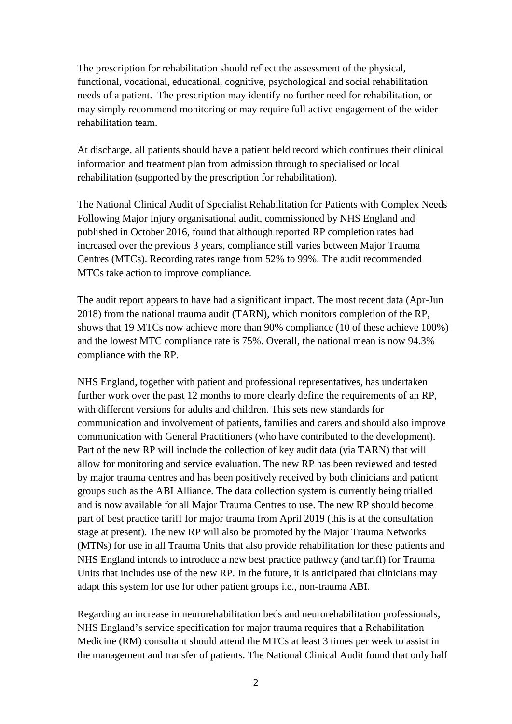The prescription for rehabilitation should reflect the assessment of the physical, functional, vocational, educational, cognitive, psychological and social rehabilitation needs of a patient. The prescription may identify no further need for rehabilitation, or may simply recommend monitoring or may require full active engagement of the wider rehabilitation team.

At discharge, all patients should have a patient held record which continues their clinical information and treatment plan from admission through to specialised or local rehabilitation (supported by the prescription for rehabilitation).

The National Clinical Audit of Specialist Rehabilitation for Patients with Complex Needs Following Major Injury organisational audit, commissioned by NHS England and published in October 2016, found that although reported RP completion rates had increased over the previous 3 years, compliance still varies between Major Trauma Centres (MTCs). Recording rates range from 52% to 99%. The audit recommended MTCs take action to improve compliance.

The audit report appears to have had a significant impact. The most recent data (Apr-Jun 2018) from the national trauma audit (TARN), which monitors completion of the RP, shows that 19 MTCs now achieve more than 90% compliance (10 of these achieve 100%) and the lowest MTC compliance rate is 75%. Overall, the national mean is now 94.3% compliance with the RP.

NHS England, together with patient and professional representatives, has undertaken further work over the past 12 months to more clearly define the requirements of an RP, with different versions for adults and children. This sets new standards for communication and involvement of patients, families and carers and should also improve communication with General Practitioners (who have contributed to the development). Part of the new RP will include the collection of key audit data (via TARN) that will allow for monitoring and service evaluation. The new RP has been reviewed and tested by major trauma centres and has been positively received by both clinicians and patient groups such as the ABI Alliance. The data collection system is currently being trialled and is now available for all Major Trauma Centres to use. The new RP should become part of best practice tariff for major trauma from April 2019 (this is at the consultation stage at present). The new RP will also be promoted by the Major Trauma Networks (MTNs) for use in all Trauma Units that also provide rehabilitation for these patients and NHS England intends to introduce a new best practice pathway (and tariff) for Trauma Units that includes use of the new RP. In the future, it is anticipated that clinicians may adapt this system for use for other patient groups i.e., non-trauma ABI.

Regarding an increase in neurorehabilitation beds and neurorehabilitation professionals, NHS England's service specification for major trauma requires that a Rehabilitation Medicine (RM) consultant should attend the MTCs at least 3 times per week to assist in the management and transfer of patients. The National Clinical Audit found that only half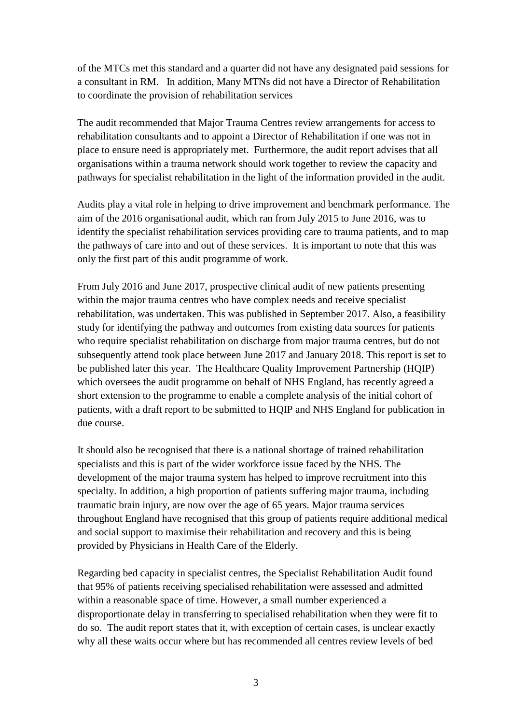of the MTCs met this standard and a quarter did not have any designated paid sessions for a consultant in RM. In addition, Many MTNs did not have a Director of Rehabilitation to coordinate the provision of rehabilitation services

The audit recommended that Major Trauma Centres review arrangements for access to rehabilitation consultants and to appoint a Director of Rehabilitation if one was not in place to ensure need is appropriately met. Furthermore, the audit report advises that all organisations within a trauma network should work together to review the capacity and pathways for specialist rehabilitation in the light of the information provided in the audit.

Audits play a vital role in helping to drive improvement and benchmark performance. The aim of the 2016 organisational audit, which ran from July 2015 to June 2016, was to identify the specialist rehabilitation services providing care to trauma patients, and to map the pathways of care into and out of these services. It is important to note that this was only the first part of this audit programme of work.

From July 2016 and June 2017, prospective clinical audit of new patients presenting within the major trauma centres who have complex needs and receive specialist rehabilitation, was undertaken. This was published in September 2017. Also, a feasibility study for identifying the pathway and outcomes from existing data sources for patients who require specialist rehabilitation on discharge from major trauma centres, but do not subsequently attend took place between June 2017 and January 2018. This report is set to be published later this year. The Healthcare Quality Improvement Partnership (HQIP) which oversees the audit programme on behalf of NHS England, has recently agreed a short extension to the programme to enable a complete analysis of the initial cohort of patients, with a draft report to be submitted to HQIP and NHS England for publication in due course.

It should also be recognised that there is a national shortage of trained rehabilitation specialists and this is part of the wider workforce issue faced by the NHS. The development of the major trauma system has helped to improve recruitment into this specialty. In addition, a high proportion of patients suffering major trauma, including traumatic brain injury, are now over the age of 65 years. Major trauma services throughout England have recognised that this group of patients require additional medical and social support to maximise their rehabilitation and recovery and this is being provided by Physicians in Health Care of the Elderly.

Regarding bed capacity in specialist centres, the Specialist Rehabilitation Audit found that 95% of patients receiving specialised rehabilitation were assessed and admitted within a reasonable space of time. However, a small number experienced a disproportionate delay in transferring to specialised rehabilitation when they were fit to do so. The audit report states that it, with exception of certain cases, is unclear exactly why all these waits occur where but has recommended all centres review levels of bed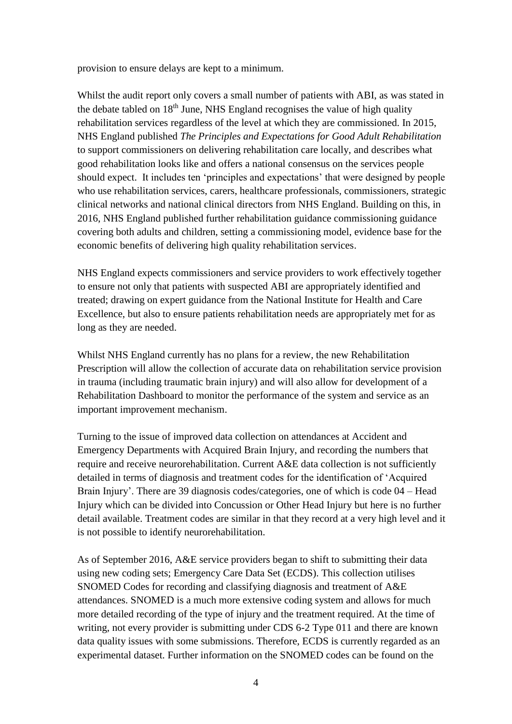provision to ensure delays are kept to a minimum.

Whilst the audit report only covers a small number of patients with ABI, as was stated in the debate tabled on  $18<sup>th</sup>$  June, NHS England recognises the value of high quality rehabilitation services regardless of the level at which they are commissioned. In 2015, NHS England published *The Principles and Expectations for Good Adult Rehabilitation*  to support commissioners on delivering rehabilitation care locally, and describes what good rehabilitation looks like and offers a national consensus on the services people should expect. It includes ten 'principles and expectations' that were designed by people who use rehabilitation services, carers, healthcare professionals, commissioners, strategic clinical networks and national clinical directors from NHS England. Building on this, in 2016, NHS England published further rehabilitation guidance commissioning guidance covering both adults and children, setting a commissioning model, evidence base for the economic benefits of delivering high quality rehabilitation services.

NHS England expects commissioners and service providers to work effectively together to ensure not only that patients with suspected ABI are appropriately identified and treated; drawing on expert guidance from the National Institute for Health and Care Excellence, but also to ensure patients rehabilitation needs are appropriately met for as long as they are needed.

Whilst NHS England currently has no plans for a review, the new Rehabilitation Prescription will allow the collection of accurate data on rehabilitation service provision in trauma (including traumatic brain injury) and will also allow for development of a Rehabilitation Dashboard to monitor the performance of the system and service as an important improvement mechanism.

Turning to the issue of improved data collection on attendances at Accident and Emergency Departments with Acquired Brain Injury, and recording the numbers that require and receive neurorehabilitation. Current A&E data collection is not sufficiently detailed in terms of diagnosis and treatment codes for the identification of 'Acquired Brain Injury'. There are 39 diagnosis codes/categories, one of which is code 04 – Head Injury which can be divided into Concussion or Other Head Injury but here is no further detail available. Treatment codes are similar in that they record at a very high level and it is not possible to identify neurorehabilitation.

As of September 2016, A&E service providers began to shift to submitting their data using new coding sets; Emergency Care Data Set (ECDS). This collection utilises SNOMED Codes for recording and classifying diagnosis and treatment of A&E attendances. SNOMED is a much more extensive coding system and allows for much more detailed recording of the type of injury and the treatment required. At the time of writing, not every provider is submitting under CDS 6-2 Type 011 and there are known data quality issues with some submissions. Therefore, ECDS is currently regarded as an experimental dataset. Further information on the SNOMED codes can be found on the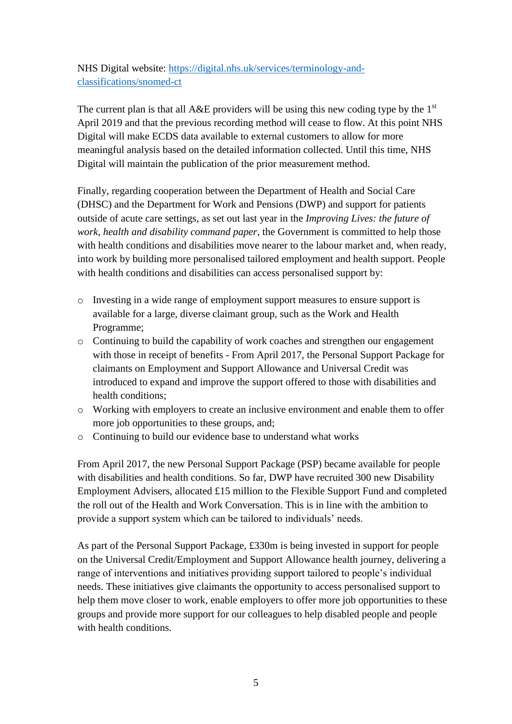NHS Digital website: [https://digital.nhs.uk/services/terminology-and](https://digital.nhs.uk/services/terminology-and-classifications/snomed-ct)[classifications/snomed-ct](https://digital.nhs.uk/services/terminology-and-classifications/snomed-ct)

The current plan is that all  $A\&E$  providers will be using this new coding type by the  $1<sup>st</sup>$ April 2019 and that the previous recording method will cease to flow. At this point NHS Digital will make ECDS data available to external customers to allow for more meaningful analysis based on the detailed information collected. Until this time, NHS Digital will maintain the publication of the prior measurement method.

Finally, regarding cooperation between the Department of Health and Social Care (DHSC) and the Department for Work and Pensions (DWP) and support for patients outside of acute care settings, as set out last year in the *Improving Lives: the future of work, health and disability command paper*, the Government is committed to help those with health conditions and disabilities move nearer to the labour market and, when ready, into work by building more personalised tailored employment and health support. People with health conditions and disabilities can access personalised support by:

- o Investing in a wide range of employment support measures to ensure support is available for a large, diverse claimant group, such as the Work and Health Programme;
- o Continuing to build the capability of work coaches and strengthen our engagement with those in receipt of benefits - From April 2017, the Personal Support Package for claimants on Employment and Support Allowance and Universal Credit was introduced to expand and improve the support offered to those with disabilities and health conditions;
- o Working with employers to create an inclusive environment and enable them to offer more job opportunities to these groups, and:
- o Continuing to build our evidence base to understand what works

From April 2017, the new Personal Support Package (PSP) became available for people with disabilities and health conditions. So far, DWP have recruited 300 new Disability Employment Advisers, allocated £15 million to the Flexible Support Fund and completed the roll out of the Health and Work Conversation. This is in line with the ambition to provide a support system which can be tailored to individuals' needs.

As part of the Personal Support Package, £330m is being invested in support for people on the Universal Credit/Employment and Support Allowance health journey, delivering a range of interventions and initiatives providing support tailored to people's individual needs. These initiatives give claimants the opportunity to access personalised support to help them move closer to work, enable employers to offer more job opportunities to these groups and provide more support for our colleagues to help disabled people and people with health conditions.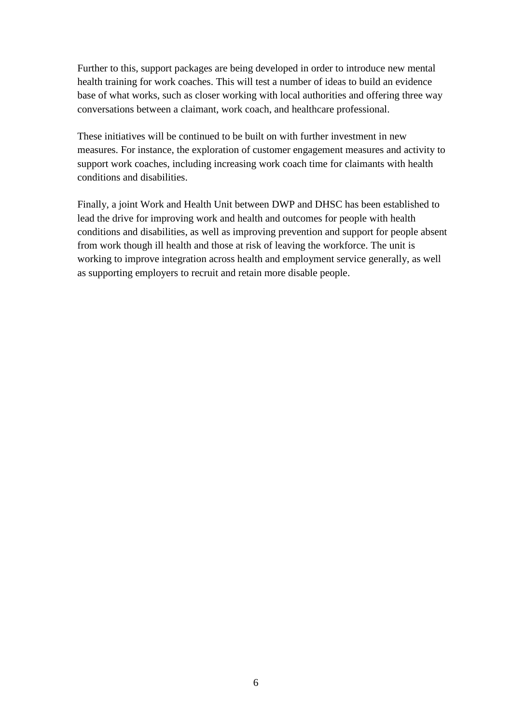Further to this, support packages are being developed in order to introduce new mental health training for work coaches. This will test a number of ideas to build an evidence base of what works, such as closer working with local authorities and offering three way conversations between a claimant, work coach, and healthcare professional.

These initiatives will be continued to be built on with further investment in new measures. For instance, the exploration of customer engagement measures and activity to support work coaches, including increasing work coach time for claimants with health conditions and disabilities.

Finally, a joint Work and Health Unit between DWP and DHSC has been established to lead the drive for improving work and health and outcomes for people with health conditions and disabilities, as well as improving prevention and support for people absent from work though ill health and those at risk of leaving the workforce. The unit is working to improve integration across health and employment service generally, as well as supporting employers to recruit and retain more disable people.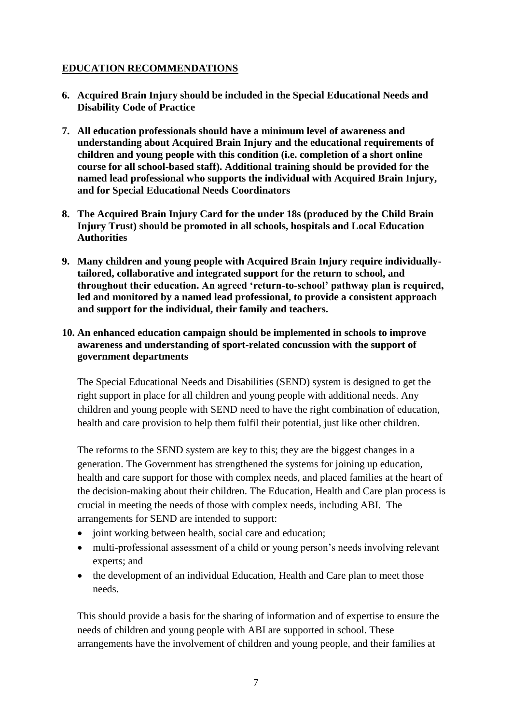# **EDUCATION RECOMMENDATIONS**

- **6. Acquired Brain Injury should be included in the Special Educational Needs and Disability Code of Practice**
- **7. All education professionals should have a minimum level of awareness and understanding about Acquired Brain Injury and the educational requirements of children and young people with this condition (i.e. completion of a short online course for all school-based staff). Additional training should be provided for the named lead professional who supports the individual with Acquired Brain Injury, and for Special Educational Needs Coordinators**
- **8. The Acquired Brain Injury Card for the under 18s (produced by the Child Brain Injury Trust) should be promoted in all schools, hospitals and Local Education Authorities**
- **9. Many children and young people with Acquired Brain Injury require individuallytailored, collaborative and integrated support for the return to school, and throughout their education. An agreed 'return-to-school' pathway plan is required, led and monitored by a named lead professional, to provide a consistent approach and support for the individual, their family and teachers.**

## **10. An enhanced education campaign should be implemented in schools to improve awareness and understanding of sport-related concussion with the support of government departments**

The Special Educational Needs and Disabilities (SEND) system is designed to get the right support in place for all children and young people with additional needs. Any children and young people with SEND need to have the right combination of education, health and care provision to help them fulfil their potential, just like other children.

The reforms to the SEND system are key to this; they are the biggest changes in a generation. The Government has strengthened the systems for joining up education, health and care support for those with complex needs, and placed families at the heart of the decision-making about their children. The Education, Health and Care plan process is crucial in meeting the needs of those with complex needs, including ABI. The arrangements for SEND are intended to support:

- joint working between health, social care and education;
- multi-professional assessment of a child or young person's needs involving relevant experts; and
- the development of an individual Education, Health and Care plan to meet those needs.

This should provide a basis for the sharing of information and of expertise to ensure the needs of children and young people with ABI are supported in school. These arrangements have the involvement of children and young people, and their families at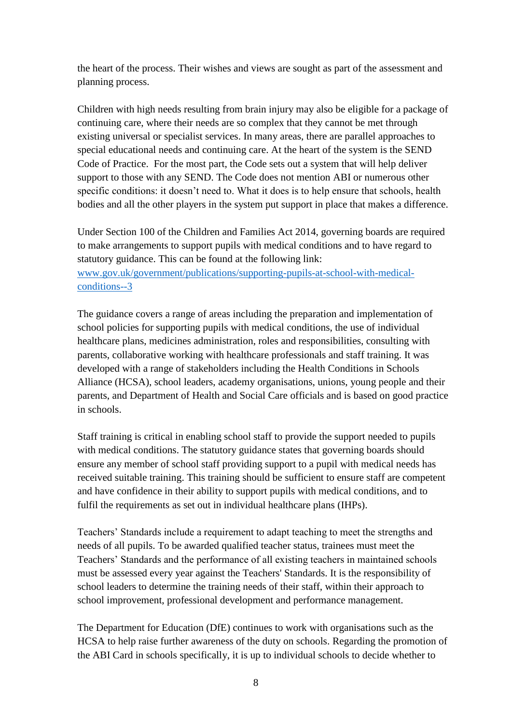the heart of the process. Their wishes and views are sought as part of the assessment and planning process.

Children with high needs resulting from brain injury may also be eligible for a package of continuing care, where their needs are so complex that they cannot be met through existing universal or specialist services. In many areas, there are parallel approaches to special educational needs and continuing care. At the heart of the system is the SEND Code of Practice. For the most part, the Code sets out a system that will help deliver support to those with any SEND. The Code does not mention ABI or numerous other specific conditions: it doesn't need to. What it does is to help ensure that schools, health bodies and all the other players in the system put support in place that makes a difference.

Under Section 100 of the Children and Families Act 2014, governing boards are required to make arrangements to support pupils with medical conditions and to have regard to statutory guidance. This can be found at the following link: [www.gov.uk/government/publications/supporting-pupils-at-school-with-medical](http://www.gov.uk/government/publications/supporting-pupils-at-school-with-medical-conditions--3)[conditions--3](http://www.gov.uk/government/publications/supporting-pupils-at-school-with-medical-conditions--3)

The guidance covers a range of areas including the preparation and implementation of school policies for supporting pupils with medical conditions, the use of individual healthcare plans, medicines administration, roles and responsibilities, consulting with parents, collaborative working with healthcare professionals and staff training. It was developed with a range of stakeholders including the Health Conditions in Schools Alliance (HCSA), school leaders, academy organisations, unions, young people and their parents, and Department of Health and Social Care officials and is based on good practice in schools.

Staff training is critical in enabling school staff to provide the support needed to pupils with medical conditions. The statutory guidance states that governing boards should ensure any member of school staff providing support to a pupil with medical needs has received suitable training. This training should be sufficient to ensure staff are competent and have confidence in their ability to support pupils with medical conditions, and to fulfil the requirements as set out in individual healthcare plans (IHPs).

Teachers' Standards include a requirement to adapt teaching to meet the strengths and needs of all pupils. To be awarded qualified teacher status, trainees must meet the Teachers' Standards and the performance of all existing teachers in maintained schools must be assessed every year against the Teachers' Standards. It is the responsibility of school leaders to determine the training needs of their staff, within their approach to school improvement, professional development and performance management.

The Department for Education (DfE) continues to work with organisations such as the HCSA to help raise further awareness of the duty on schools. Regarding the promotion of the ABI Card in schools specifically, it is up to individual schools to decide whether to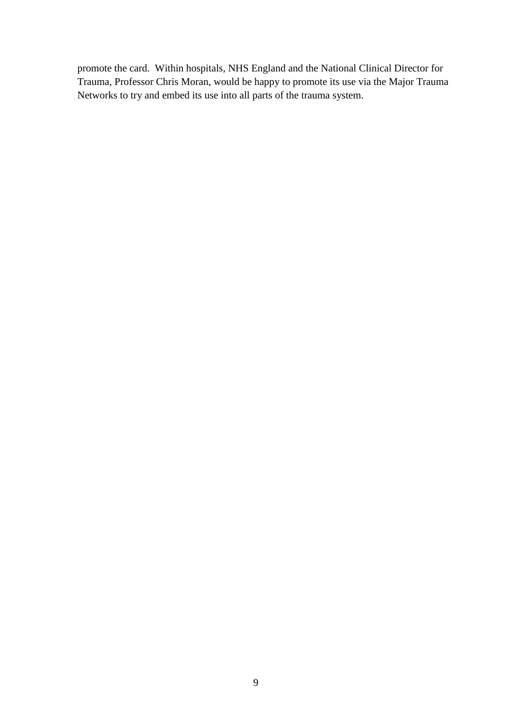promote the card. Within hospitals, NHS England and the National Clinical Director for Trauma, Professor Chris Moran, would be happy to promote its use via the Major Trauma Networks to try and embed its use into all parts of the trauma system.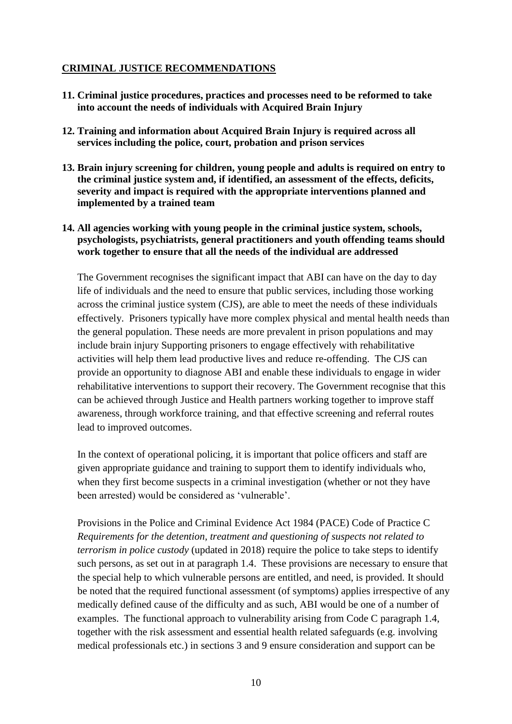# **CRIMINAL JUSTICE RECOMMENDATIONS**

- **11. Criminal justice procedures, practices and processes need to be reformed to take into account the needs of individuals with Acquired Brain Injury**
- **12. Training and information about Acquired Brain Injury is required across all services including the police, court, probation and prison services**
- **13. Brain injury screening for children, young people and adults is required on entry to the criminal justice system and, if identified, an assessment of the effects, deficits, severity and impact is required with the appropriate interventions planned and implemented by a trained team**
- **14. All agencies working with young people in the criminal justice system, schools, psychologists, psychiatrists, general practitioners and youth offending teams should work together to ensure that all the needs of the individual are addressed**

The Government recognises the significant impact that ABI can have on the day to day life of individuals and the need to ensure that public services, including those working across the criminal justice system (CJS), are able to meet the needs of these individuals effectively. Prisoners typically have more complex physical and mental health needs than the general population. These needs are more prevalent in prison populations and may include brain injury Supporting prisoners to engage effectively with rehabilitative activities will help them lead productive lives and reduce re-offending. The CJS can provide an opportunity to diagnose ABI and enable these individuals to engage in wider rehabilitative interventions to support their recovery. The Government recognise that this can be achieved through Justice and Health partners working together to improve staff awareness, through workforce training, and that effective screening and referral routes lead to improved outcomes.

In the context of operational policing, it is important that police officers and staff are given appropriate guidance and training to support them to identify individuals who, when they first become suspects in a criminal investigation (whether or not they have been arrested) would be considered as 'vulnerable'.

Provisions in the Police and Criminal Evidence Act 1984 (PACE) Code of Practice C *Requirements for the detention, treatment and questioning of suspects not related to terrorism in police custody* (updated in 2018) require the police to take steps to identify such persons, as set out in at paragraph 1.4. These provisions are necessary to ensure that the special help to which vulnerable persons are entitled, and need, is provided. It should be noted that the required functional assessment (of symptoms) applies irrespective of any medically defined cause of the difficulty and as such, ABI would be one of a number of examples. The functional approach to vulnerability arising from Code C paragraph 1.4, together with the risk assessment and essential health related safeguards (e.g. involving medical professionals etc.) in sections 3 and 9 ensure consideration and support can be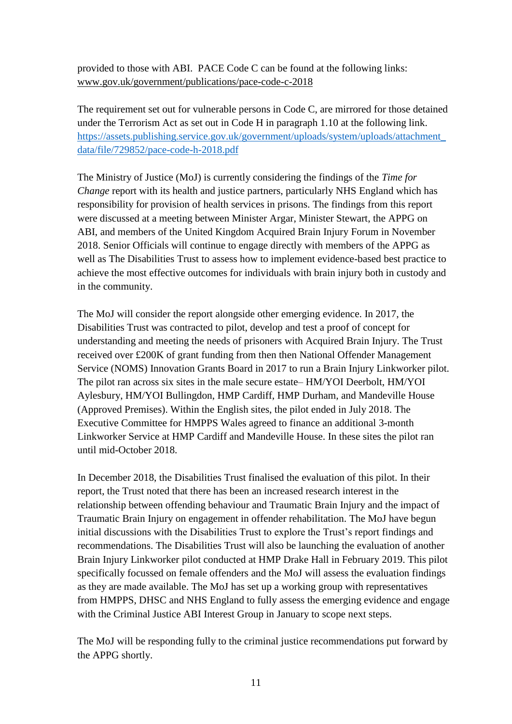provided to those with ABI. PACE Code C can be found at the following links: [www.gov.uk/government/publications/pace-code-c-2018](http://www.gov.uk/government/publications/pace-code-c-2018)

The requirement set out for vulnerable persons in Code C, are mirrored for those detained under the Terrorism Act as set out in Code H in paragraph 1.10 at the following link. [https://assets.publishing.service.gov.uk/government/uploads/system/uploads/attachment\\_](https://assets.publishing.service.gov.uk/government/uploads/system/uploads/attachment_data/file/729852/pace-code-h-2018.pdf) [data/file/729852/pace-code-h-2018.pdf](https://assets.publishing.service.gov.uk/government/uploads/system/uploads/attachment_data/file/729852/pace-code-h-2018.pdf)

The Ministry of Justice (MoJ) is currently considering the findings of the *Time for Change* report with its health and justice partners, particularly NHS England which has responsibility for provision of health services in prisons. The findings from this report were discussed at a meeting between Minister Argar, Minister Stewart, the APPG on ABI, and members of the United Kingdom Acquired Brain Injury Forum in November 2018. Senior Officials will continue to engage directly with members of the APPG as well as The Disabilities Trust to assess how to implement evidence-based best practice to achieve the most effective outcomes for individuals with brain injury both in custody and in the community.

The MoJ will consider the report alongside other emerging evidence. In 2017, the Disabilities Trust was contracted to pilot, develop and test a proof of concept for understanding and meeting the needs of prisoners with Acquired Brain Injury. The Trust received over £200K of grant funding from then then National Offender Management Service (NOMS) Innovation Grants Board in 2017 to run a Brain Injury Linkworker pilot. The pilot ran across six sites in the male secure estate– HM/YOI Deerbolt, HM/YOI Aylesbury, HM/YOI Bullingdon, HMP Cardiff, HMP Durham, and Mandeville House (Approved Premises). Within the English sites, the pilot ended in July 2018. The Executive Committee for HMPPS Wales agreed to finance an additional 3-month Linkworker Service at HMP Cardiff and Mandeville House. In these sites the pilot ran until mid-October 2018.

In December 2018, the Disabilities Trust finalised the evaluation of this pilot. In their report, the Trust noted that there has been an increased research interest in the relationship between offending behaviour and Traumatic Brain Injury and the impact of Traumatic Brain Injury on engagement in offender rehabilitation. The MoJ have begun initial discussions with the Disabilities Trust to explore the Trust's report findings and recommendations. The Disabilities Trust will also be launching the evaluation of another Brain Injury Linkworker pilot conducted at HMP Drake Hall in February 2019. This pilot specifically focussed on female offenders and the MoJ will assess the evaluation findings as they are made available. The MoJ has set up a working group with representatives from HMPPS, DHSC and NHS England to fully assess the emerging evidence and engage with the Criminal Justice ABI Interest Group in January to scope next steps.

The MoJ will be responding fully to the criminal justice recommendations put forward by the APPG shortly.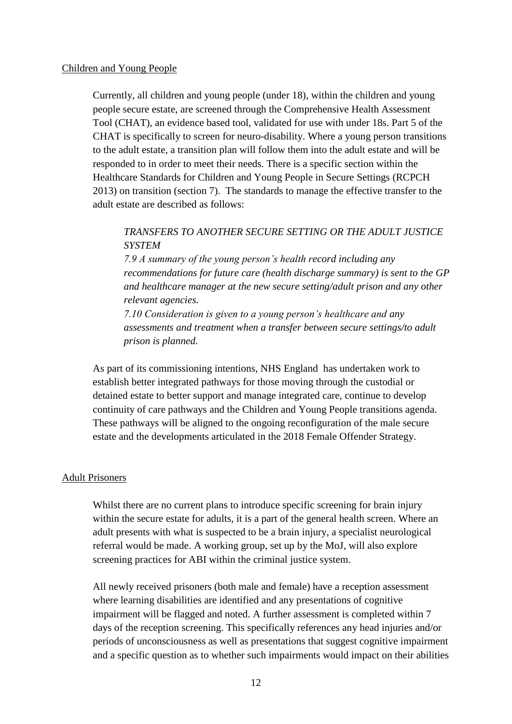### Children and Young People

Currently, all children and young people (under 18), within the children and young people secure estate, are screened through the Comprehensive Health Assessment Tool (CHAT), an evidence based tool, validated for use with under 18s. Part 5 of the CHAT is specifically to screen for neuro-disability. Where a young person transitions to the adult estate, a transition plan will follow them into the adult estate and will be responded to in order to meet their needs. There is a specific section within the Healthcare Standards for Children and Young People in Secure Settings (RCPCH 2013) on transition (section 7). The standards to manage the effective transfer to the adult estate are described as follows:

# *TRANSFERS TO ANOTHER SECURE SETTING OR THE ADULT JUSTICE SYSTEM*

*7.9 A summary of the young person's health record including any recommendations for future care (health discharge summary) is sent to the GP and healthcare manager at the new secure setting/adult prison and any other relevant agencies.*

*7.10 Consideration is given to a young person's healthcare and any assessments and treatment when a transfer between secure settings/to adult prison is planned.*

As part of its commissioning intentions, NHS England has undertaken work to establish better integrated pathways for those moving through the custodial or detained estate to better support and manage integrated care, continue to develop continuity of care pathways and the Children and Young People transitions agenda. These pathways will be aligned to the ongoing reconfiguration of the male secure estate and the developments articulated in the 2018 Female Offender Strategy.

#### Adult Prisoners

Whilst there are no current plans to introduce specific screening for brain injury within the secure estate for adults, it is a part of the general health screen. Where an adult presents with what is suspected to be a brain injury, a specialist neurological referral would be made. A working group, set up by the MoJ, will also explore screening practices for ABI within the criminal justice system.

All newly received prisoners (both male and female) have a reception assessment where learning disabilities are identified and any presentations of cognitive impairment will be flagged and noted. A further assessment is completed within 7 days of the reception screening. This specifically references any head injuries and/or periods of unconsciousness as well as presentations that suggest cognitive impairment and a specific question as to whether such impairments would impact on their abilities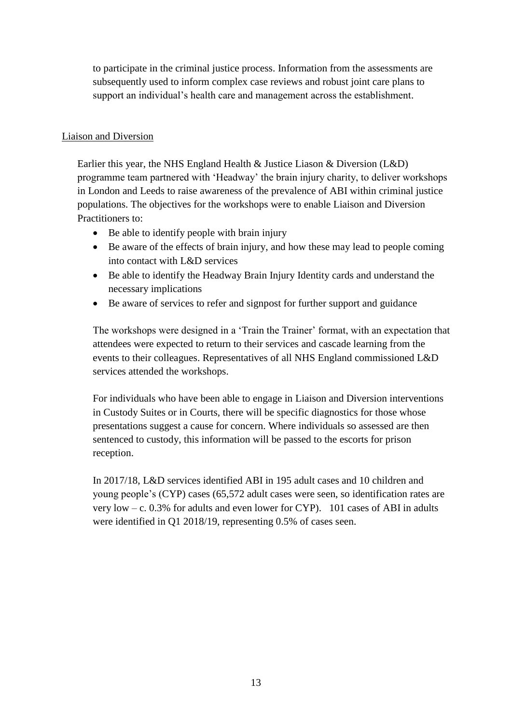to participate in the criminal justice process. Information from the assessments are subsequently used to inform complex case reviews and robust joint care plans to support an individual's health care and management across the establishment.

# Liaison and Diversion

Earlier this year, the NHS England Health & Justice Liason & Diversion (L&D) programme team partnered with 'Headway' the brain injury charity, to deliver workshops in London and Leeds to raise awareness of the prevalence of ABI within criminal justice populations. The objectives for the workshops were to enable Liaison and Diversion Practitioners to:

- Be able to identify people with brain injury
- Be aware of the effects of brain injury, and how these may lead to people coming into contact with L&D services
- Be able to identify the Headway Brain Injury Identity cards and understand the necessary implications
- Be aware of services to refer and signpost for further support and guidance

The workshops were designed in a 'Train the Trainer' format, with an expectation that attendees were expected to return to their services and cascade learning from the events to their colleagues. Representatives of all NHS England commissioned L&D services attended the workshops.

For individuals who have been able to engage in Liaison and Diversion interventions in Custody Suites or in Courts, there will be specific diagnostics for those whose presentations suggest a cause for concern. Where individuals so assessed are then sentenced to custody, this information will be passed to the escorts for prison reception.

In 2017/18, L&D services identified ABI in 195 adult cases and 10 children and young people's (CYP) cases (65,572 adult cases were seen, so identification rates are very low – c. 0.3% for adults and even lower for CYP). 101 cases of ABI in adults were identified in Q1 2018/19, representing 0.5% of cases seen.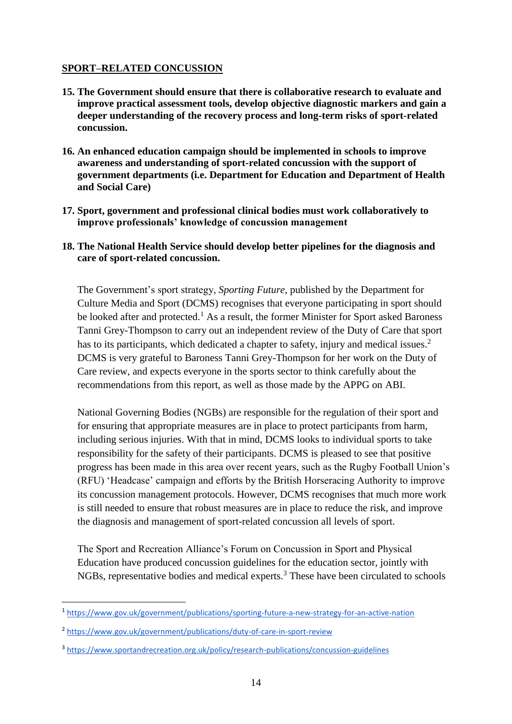# **SPORT–RELATED CONCUSSION**

- **15. The Government should ensure that there is collaborative research to evaluate and improve practical assessment tools, develop objective diagnostic markers and gain a deeper understanding of the recovery process and long-term risks of sport-related concussion.**
- **16. An enhanced education campaign should be implemented in schools to improve awareness and understanding of sport-related concussion with the support of government departments (i.e. Department for Education and Department of Health and Social Care)**
- **17. Sport, government and professional clinical bodies must work collaboratively to improve professionals' knowledge of concussion management**
- **18. The National Health Service should develop better pipelines for the diagnosis and care of sport-related concussion.**

The Government's sport strategy, *Sporting Future*, published by the Department for Culture Media and Sport (DCMS) recognises that everyone participating in sport should be looked after and protected.<sup>1</sup> As a result, the former Minister for Sport asked Baroness Tanni Grey-Thompson to carry out an independent review of the Duty of Care that sport has to its participants, which dedicated a chapter to safety, injury and medical issues.<sup>2</sup> DCMS is very grateful to Baroness Tanni Grey-Thompson for her work on the Duty of Care review, and expects everyone in the sports sector to think carefully about the recommendations from this report, as well as those made by the APPG on ABI.

National Governing Bodies (NGBs) are responsible for the regulation of their sport and for ensuring that appropriate measures are in place to protect participants from harm, including serious injuries. With that in mind, DCMS looks to individual sports to take responsibility for the safety of their participants. DCMS is pleased to see that positive progress has been made in this area over recent years, such as the Rugby Football Union's (RFU) 'Headcase' campaign and efforts by the British Horseracing Authority to improve its concussion management protocols. However, DCMS recognises that much more work is still needed to ensure that robust measures are in place to reduce the risk, and improve the diagnosis and management of sport-related concussion all levels of sport.

The Sport and Recreation Alliance's Forum on Concussion in Sport and Physical Education have produced concussion guidelines for the education sector, jointly with NGBs, representative bodies and medical experts.<sup>3</sup> These have been circulated to schools

**.** 

<sup>1</sup> <https://www.gov.uk/government/publications/sporting-future-a-new-strategy-for-an-active-nation>

<sup>&</sup>lt;sup>2</sup> <https://www.gov.uk/government/publications/duty-of-care-in-sport-review>

<sup>3</sup> <https://www.sportandrecreation.org.uk/policy/research-publications/concussion-guidelines>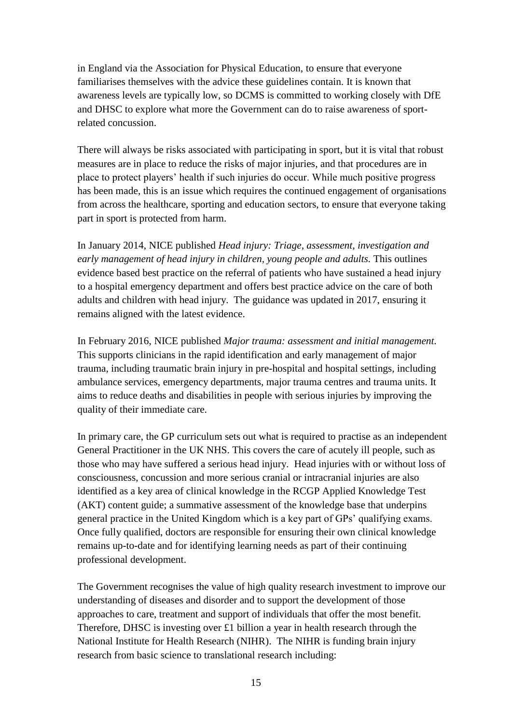in England via the Association for Physical Education, to ensure that everyone familiarises themselves with the advice these guidelines contain. It is known that awareness levels are typically low, so DCMS is committed to working closely with DfE and DHSC to explore what more the Government can do to raise awareness of sportrelated concussion.

There will always be risks associated with participating in sport, but it is vital that robust measures are in place to reduce the risks of major injuries, and that procedures are in place to protect players' health if such injuries do occur. While much positive progress has been made, this is an issue which requires the continued engagement of organisations from across the healthcare, sporting and education sectors, to ensure that everyone taking part in sport is protected from harm.

In January 2014, NICE published *Head injury: Triage, assessment, investigation and early management of head injury in children, young people and adults.* This outlines evidence based best practice on the referral of patients who have sustained a head injury to a hospital emergency department and offers best practice advice on the care of both adults and children with head injury. The guidance was updated in 2017, ensuring it remains aligned with the latest evidence.

In February 2016, NICE published *Major trauma: assessment and initial management.* This supports clinicians in the rapid identification and early management of major trauma, including traumatic brain injury in pre-hospital and hospital settings, including ambulance services, emergency departments, major trauma centres and trauma units. It aims to reduce deaths and disabilities in people with serious injuries by improving the quality of their immediate care.

In primary care, the GP curriculum sets out what is required to practise as an independent General Practitioner in the UK NHS. This covers the care of acutely ill people, such as those who may have suffered a serious head injury. Head injuries with or without loss of consciousness, concussion and more serious cranial or intracranial injuries are also identified as a key area of clinical knowledge in the RCGP Applied Knowledge Test (AKT) content guide; a summative assessment of the knowledge base that underpins general practice in the United Kingdom which is a key part of GPs' qualifying exams. Once fully qualified, doctors are responsible for ensuring their own clinical knowledge remains up-to-date and for identifying learning needs as part of their continuing professional development.

The Government recognises the value of high quality research investment to improve our understanding of diseases and disorder and to support the development of those approaches to care, treatment and support of individuals that offer the most benefit. Therefore, DHSC is investing over  $\pounds 1$  billion a year in health research through the National Institute for Health Research (NIHR). The NIHR is funding brain injury research from basic science to translational research including: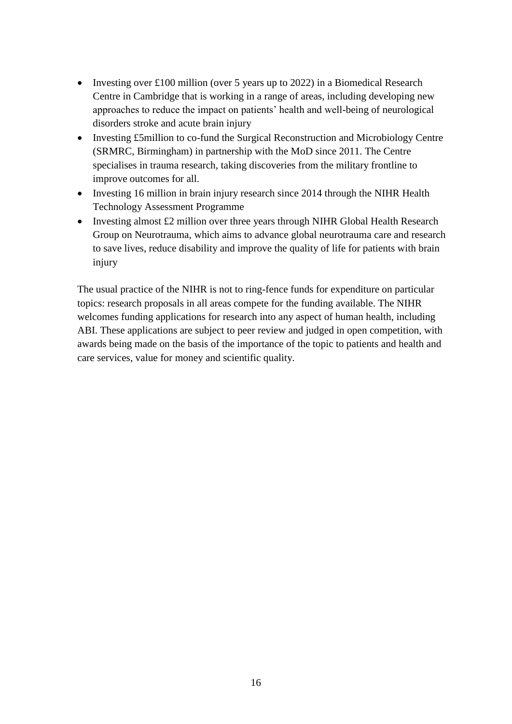- Investing over £100 million (over 5 years up to 2022) in a Biomedical Research Centre in Cambridge that is working in a range of areas, including developing new approaches to reduce the impact on patients' health and well-being of neurological disorders stroke and acute brain injury
- Investing £5million to co-fund the Surgical Reconstruction and Microbiology Centre (SRMRC, Birmingham) in partnership with the MoD since 2011. The Centre specialises in trauma research, taking discoveries from the military frontline to improve outcomes for all.
- Investing 16 million in brain injury research since 2014 through the NIHR Health Technology Assessment Programme
- Investing almost £2 million over three years through NIHR Global Health Research Group on Neurotrauma, which aims to advance global neurotrauma care and research to save lives, reduce disability and improve the quality of life for patients with brain injury

The usual practice of the NIHR is not to ring-fence funds for expenditure on particular topics: research proposals in all areas compete for the funding available. The NIHR welcomes funding applications for research into any aspect of human health, including ABI. These applications are subject to peer review and judged in open competition, with awards being made on the basis of the importance of the topic to patients and health and care services, value for money and scientific quality.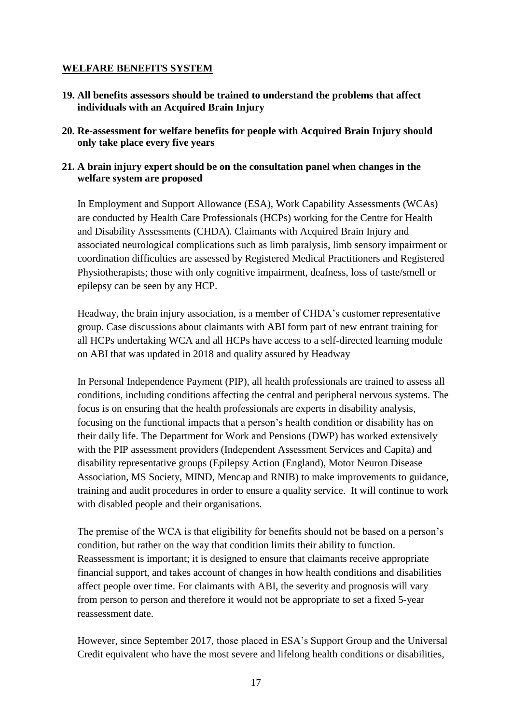# **WELFARE BENEFITS SYSTEM**

- **19. All benefits assessors should be trained to understand the problems that affect individuals with an Acquired Brain Injury**
- **20. Re-assessment for welfare benefits for people with Acquired Brain Injury should only take place every five years**

### **21. A brain injury expert should be on the consultation panel when changes in the welfare system are proposed**

In Employment and Support Allowance (ESA), Work Capability Assessments (WCAs) are conducted by Health Care Professionals (HCPs) working for the Centre for Health and Disability Assessments (CHDA). Claimants with Acquired Brain Injury and associated neurological complications such as limb paralysis, limb sensory impairment or coordination difficulties are assessed by Registered Medical Practitioners and Registered Physiotherapists; those with only cognitive impairment, deafness, loss of taste/smell or epilepsy can be seen by any HCP.

Headway, the brain injury association, is a member of CHDA's customer representative group. Case discussions about claimants with ABI form part of new entrant training for all HCPs undertaking WCA and all HCPs have access to a self-directed learning module on ABI that was updated in 2018 and quality assured by Headway

In Personal Independence Payment (PIP), all health professionals are trained to assess all conditions, including conditions affecting the central and peripheral nervous systems. The focus is on ensuring that the health professionals are experts in disability analysis, focusing on the functional impacts that a person's health condition or disability has on their daily life. The Department for Work and Pensions (DWP) has worked extensively with the PIP assessment providers (Independent Assessment Services and Capita) and disability representative groups (Epilepsy Action (England), Motor Neuron Disease Association, MS Society, MIND, Mencap and RNIB) to make improvements to guidance, training and audit procedures in order to ensure a quality service. It will continue to work with disabled people and their organisations.

The premise of the WCA is that eligibility for benefits should not be based on a person's condition, but rather on the way that condition limits their ability to function. Reassessment is important; it is designed to ensure that claimants receive appropriate financial support, and takes account of changes in how health conditions and disabilities affect people over time. For claimants with ABI, the severity and prognosis will vary from person to person and therefore it would not be appropriate to set a fixed 5-year reassessment date.

However, since September 2017, those placed in ESA's Support Group and the Universal Credit equivalent who have the most severe and lifelong health conditions or disabilities,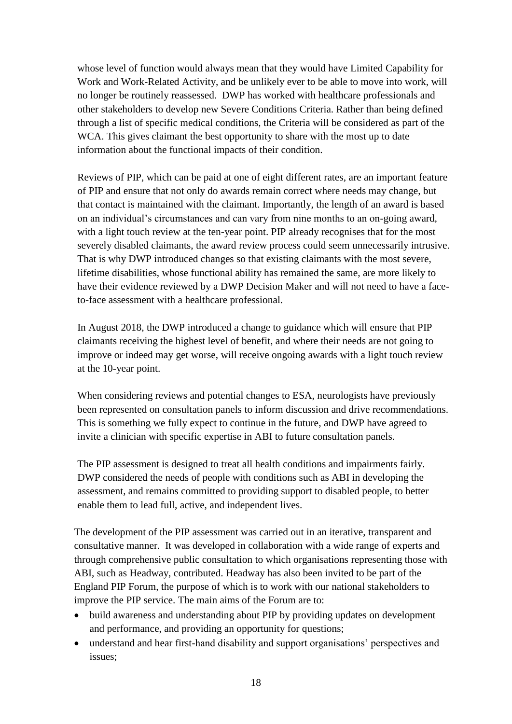whose level of function would always mean that they would have Limited Capability for Work and Work-Related Activity, and be unlikely ever to be able to move into work, will no longer be routinely reassessed. DWP has worked with healthcare professionals and other stakeholders to develop new Severe Conditions Criteria. Rather than being defined through a list of specific medical conditions, the Criteria will be considered as part of the WCA. This gives claimant the best opportunity to share with the most up to date information about the functional impacts of their condition.

Reviews of PIP, which can be paid at one of eight different rates, are an important feature of PIP and ensure that not only do awards remain correct where needs may change, but that contact is maintained with the claimant. Importantly, the length of an award is based on an individual's circumstances and can vary from nine months to an on-going award, with a light touch review at the ten-year point. PIP already recognises that for the most severely disabled claimants, the award review process could seem unnecessarily intrusive. That is why DWP introduced changes so that existing claimants with the most severe, lifetime disabilities, whose functional ability has remained the same, are more likely to have their evidence reviewed by a DWP Decision Maker and will not need to have a faceto-face assessment with a healthcare professional.

In August 2018, the DWP introduced a change to guidance which will ensure that PIP claimants receiving the highest level of benefit, and where their needs are not going to improve or indeed may get worse, will receive ongoing awards with a light touch review at the 10-year point.

When considering reviews and potential changes to ESA, neurologists have previously been represented on consultation panels to inform discussion and drive recommendations. This is something we fully expect to continue in the future, and DWP have agreed to invite a clinician with specific expertise in ABI to future consultation panels.

The PIP assessment is designed to treat all health conditions and impairments fairly. DWP considered the needs of people with conditions such as ABI in developing the assessment, and remains committed to providing support to disabled people, to better enable them to lead full, active, and independent lives.

The development of the PIP assessment was carried out in an iterative, transparent and consultative manner. It was developed in collaboration with a wide range of experts and through comprehensive public consultation to which organisations representing those with ABI, such as Headway, contributed. Headway has also been invited to be part of the England PIP Forum, the purpose of which is to work with our national stakeholders to improve the PIP service. The main aims of the Forum are to:

- build awareness and understanding about PIP by providing updates on development and performance, and providing an opportunity for questions;
- understand and hear first-hand disability and support organisations' perspectives and issues;